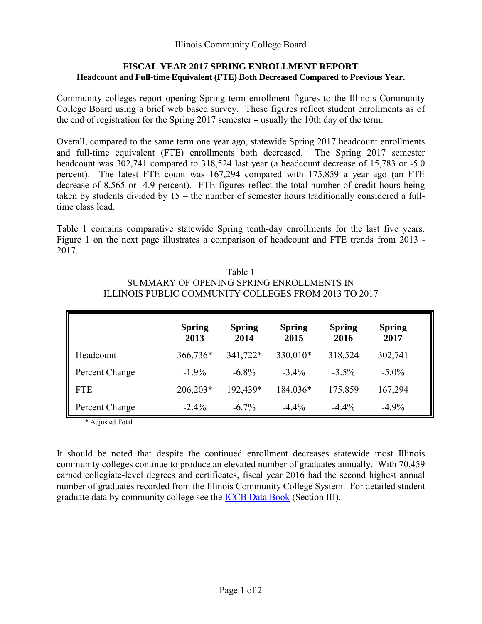# **FISCAL YEAR 2017 SPRING ENROLLMENT REPORT Headcount and Full-time Equivalent (FTE) Both Decreased Compared to Previous Year.**

Community colleges report opening Spring term enrollment figures to the Illinois Community College Board using a brief web based survey. These figures reflect student enrollments as of the end of registration for the Spring  $2017$  semester  $-$  usually the 10th day of the term.

Overall, compared to the same term one year ago, statewide Spring 2017 headcount enrollments and full-time equivalent (FTE) enrollments both decreased. The Spring 2017 semester headcount was 302,741 compared to 318,524 last year (a headcount decrease of 15,783 or -5.0) percent). The latest FTE count was 167,294 compared with 175,859 a year ago (an FTE decrease of 8,565 or -4.9 percent). FTE figures reflect the total number of credit hours being taken by students divided by 15 – the number of semester hours traditionally considered a fulltime class load.

Table 1 contains comparative statewide Spring tenth-day enrollments for the last five years. Figure 1 on the next page illustrates a comparison of headcount and FTE trends from 2013 - 2017.

| Table 1                                              |
|------------------------------------------------------|
| SUMMARY OF OPENING SPRING ENROLLMENTS IN             |
| ILLINOIS PUBLIC COMMUNITY COLLEGES FROM 2013 TO 2017 |

|                | <b>Spring</b><br>2013 | <b>Spring</b><br>2014 | <b>Spring</b><br>2015 | <b>Spring</b><br>2016 | <b>Spring</b><br>2017 |
|----------------|-----------------------|-----------------------|-----------------------|-----------------------|-----------------------|
| Headcount      | 366,736*              | 341,722*              | 330,010*              | 318,524               | 302,741               |
| Percent Change | $-1.9\%$              | $-6.8\%$              | $-3.4\%$              | $-3.5\%$              | $-5.0\%$              |
| <b>FTE</b>     | 206,203*              | 192,439*              | 184,036*              | 175,859               | 167,294               |
| Percent Change | $-2.4\%$              | $-6.7\%$              | $-4.4\%$              | $-4.4\%$              | $-4.9%$               |

\* Adjusted Total

It should be noted that despite the continued enrollment decreases statewide most Illinois community colleges continue to produce an elevated number of graduates annually. With 70,459 earned collegiate-level degrees and certificates, fiscal year 2016 had the second highest annual number of graduates recorded from the Illinois Community College System. For detailed student graduate data by community college see the [ICCB Data Book](https://www.iccb.org/data/?page_id=10) (Section III).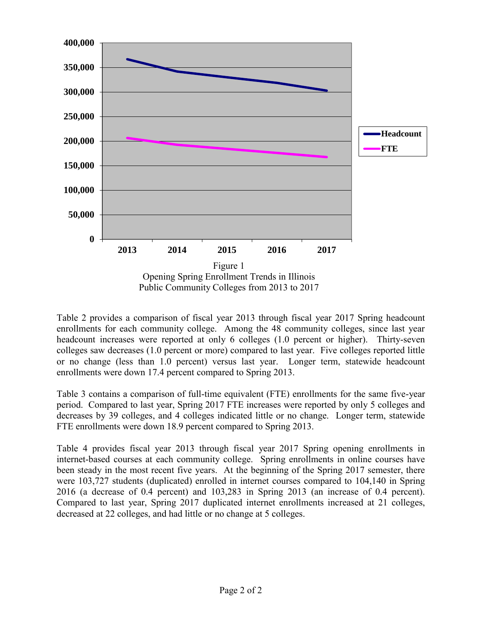

Table 2 provides a comparison of fiscal year 2013 through fiscal year 2017 Spring headcount enrollments for each community college. Among the 48 community colleges, since last year headcount increases were reported at only 6 colleges (1.0 percent or higher). Thirty-seven colleges saw decreases (1.0 percent or more) compared to last year. Five colleges reported little or no change (less than 1.0 percent) versus last year. Longer term, statewide headcount enrollments were down 17.4 percent compared to Spring 2013.

Table 3 contains a comparison of full-time equivalent (FTE) enrollments for the same five-year period. Compared to last year, Spring 2017 FTE increases were reported by only 5 colleges and decreases by 39 colleges, and 4 colleges indicated little or no change. Longer term, statewide FTE enrollments were down 18.9 percent compared to Spring 2013.

Table 4 provides fiscal year 2013 through fiscal year 2017 Spring opening enrollments in internet-based courses at each community college. Spring enrollments in online courses have been steady in the most recent five years. At the beginning of the Spring 2017 semester, there were 103,727 students (duplicated) enrolled in internet courses compared to 104,140 in Spring 2016 (a decrease of 0.4 percent) and 103,283 in Spring 2013 (an increase of 0.4 percent). Compared to last year, Spring 2017 duplicated internet enrollments increased at 21 colleges, decreased at 22 colleges, and had little or no change at 5 colleges.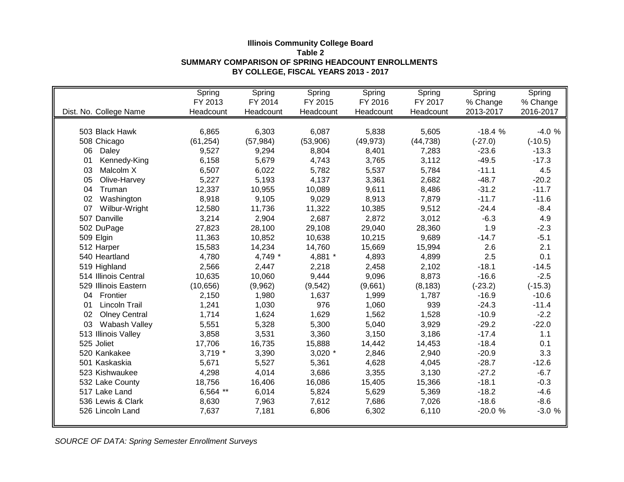|                            | Spring     | Spring    | Spring    | Spring    | Spring    | Spring    | Spring    |
|----------------------------|------------|-----------|-----------|-----------|-----------|-----------|-----------|
|                            | FY 2013    | FY 2014   | FY 2015   | FY 2016   | FY 2017   | % Change  | % Change  |
| Dist. No. College Name     | Headcount  | Headcount | Headcount | Headcount | Headcount | 2013-2017 | 2016-2017 |
|                            |            |           |           |           |           |           |           |
| 503 Black Hawk             | 6,865      | 6,303     | 6,087     | 5,838     | 5,605     | $-18.4%$  | $-4.0%$   |
| 508 Chicago                | (61, 254)  | (57, 984) | (53,906)  | (49, 973) | (44, 738) | $(-27.0)$ | $(-10.5)$ |
| 06<br>Daley                | 9,527      | 9,294     | 8,804     | 8,401     | 7,283     | $-23.6$   | $-13.3$   |
| Kennedy-King<br>01         | 6,158      | 5,679     | 4,743     | 3,765     | 3,112     | $-49.5$   | $-17.3$   |
| Malcolm X<br>03            | 6,507      | 6,022     | 5,782     | 5,537     | 5,784     | $-11.1$   | 4.5       |
| Olive-Harvey<br>05         | 5,227      | 5,193     | 4,137     | 3,361     | 2,682     | $-48.7$   | $-20.2$   |
| 04<br>Truman               | 12,337     | 10,955    | 10,089    | 9,611     | 8,486     | $-31.2$   | $-11.7$   |
| Washington<br>02           | 8,918      | 9,105     | 9,029     | 8,913     | 7,879     | $-11.7$   | $-11.6$   |
| 07<br>Wilbur-Wright        | 12,580     | 11,736    | 11,322    | 10,385    | 9,512     | $-24.4$   | $-8.4$    |
| 507 Danville               | 3,214      | 2,904     | 2,687     | 2,872     | 3,012     | $-6.3$    | 4.9       |
| 502 DuPage                 | 27,823     | 28,100    | 29,108    | 29,040    | 28,360    | 1.9       | $-2.3$    |
| 509 Elgin                  | 11,363     | 10,852    | 10,638    | 10,215    | 9,689     | $-14.7$   | $-5.1$    |
| 512 Harper                 | 15,583     | 14,234    | 14,760    | 15,669    | 15,994    | 2.6       | 2.1       |
| 540 Heartland              | 4,780      | 4,749 *   | 4,881 *   | 4,893     | 4,899     | 2.5       | 0.1       |
| 519 Highland               | 2,566      | 2,447     | 2,218     | 2,458     | 2,102     | $-18.1$   | $-14.5$   |
| 514 Illinois Central       | 10,635     | 10,060    | 9,444     | 9,096     | 8,873     | $-16.6$   | $-2.5$    |
| 529 Illinois Eastern       | (10, 656)  | (9,962)   | (9, 542)  | (9,661)   | (8, 183)  | $(-23.2)$ | $(-15.3)$ |
| Frontier<br>04             | 2,150      | 1,980     | 1,637     | 1,999     | 1,787     | $-16.9$   | $-10.6$   |
| Lincoln Trail<br>01        | 1,241      | 1,030     | 976       | 1,060     | 939       | $-24.3$   | $-11.4$   |
| <b>Olney Central</b><br>02 | 1,714      | 1,624     | 1,629     | 1,562     | 1,528     | $-10.9$   | $-2.2$    |
| Wabash Valley<br>03        | 5,551      | 5,328     | 5,300     | 5,040     | 3,929     | $-29.2$   | $-22.0$   |
| 513 Illinois Valley        | 3,858      | 3,531     | 3,360     | 3,150     | 3,186     | $-17.4$   | 1.1       |
| 525 Joliet                 | 17,706     | 16,735    | 15,888    | 14,442    | 14,453    | $-18.4$   | 0.1       |
| 520 Kankakee               | $3,719$ *  | 3,390     | $3,020$ * | 2,846     | 2,940     | $-20.9$   | 3.3       |
| 501 Kaskaskia              | 5,671      | 5,527     | 5,361     | 4,628     | 4,045     | $-28.7$   | $-12.6$   |
| 523 Kishwaukee             | 4,298      | 4,014     | 3,686     | 3,355     | 3,130     | $-27.2$   | $-6.7$    |
| 532 Lake County            | 18,756     | 16,406    | 16,086    | 15,405    | 15,366    | $-18.1$   | $-0.3$    |
| 517 Lake Land              | $6,564$ ** | 6,014     | 5,824     | 5,629     | 5,369     | $-18.2$   | $-4.6$    |
| 536 Lewis & Clark          | 8,630      | 7,963     | 7,612     | 7,686     | 7,026     | $-18.6$   | $-8.6$    |
| 526 Lincoln Land           | 7,637      | 7,181     | 6,806     | 6,302     | 6,110     | $-20.0%$  | $-3.0%$   |
|                            |            |           |           |           |           |           |           |

## **Illinois Community College Board Table 2 SUMMARY COMPARISON OF SPRING HEADCOUNT ENROLLMENTS BY COLLEGE, FISCAL YEARS 2013 - 2017**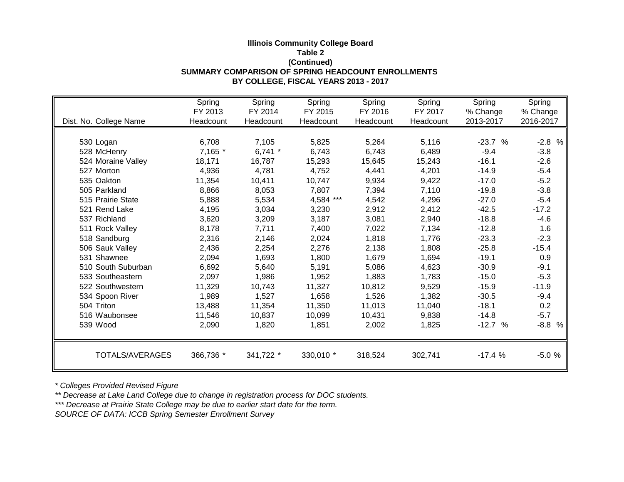## **Illinois Community College Board Table 2 (Continued) SUMMARY COMPARISON OF SPRING HEADCOUNT ENROLLMENTS BY COLLEGE, FISCAL YEARS 2013 - 2017**

|                        | Spring    | Spring    | Spring    | Spring    | Spring    | Spring          | Spring      |
|------------------------|-----------|-----------|-----------|-----------|-----------|-----------------|-------------|
|                        | FY 2013   | FY 2014   | FY 2015   | FY 2016   | FY 2017   | % Change        | % Change    |
| Dist. No. College Name | Headcount | Headcount | Headcount | Headcount | Headcount | 2013-2017       | 2016-2017   |
|                        |           |           |           |           |           |                 |             |
| 530 Logan              | 6,708     | 7,105     | 5,825     | 5,264     | 5,116     | $-23.7$<br>$\%$ | $-2.8$<br>% |
| 528 McHenry            | 7,165 *   | 6,741 $*$ | 6,743     | 6,743     | 6,489     | $-9.4$          | $-3.8$      |
| 524 Moraine Valley     | 18,171    | 16,787    | 15,293    | 15,645    | 15,243    | $-16.1$         | $-2.6$      |
| 527 Morton             | 4,936     | 4,781     | 4,752     | 4,441     | 4,201     | $-14.9$         | $-5.4$      |
| 535 Oakton             | 11,354    | 10,411    | 10,747    | 9,934     | 9,422     | $-17.0$         | $-5.2$      |
| 505 Parkland           | 8,866     | 8,053     | 7,807     | 7,394     | 7,110     | $-19.8$         | $-3.8$      |
| 515 Prairie State      | 5,888     | 5,534     | 4,584 *** | 4,542     | 4,296     | $-27.0$         | $-5.4$      |
| 521 Rend Lake          | 4,195     | 3,034     | 3,230     | 2,912     | 2,412     | $-42.5$         | $-17.2$     |
| 537 Richland           | 3,620     | 3,209     | 3,187     | 3,081     | 2,940     | $-18.8$         | $-4.6$      |
| 511 Rock Valley        | 8,178     | 7,711     | 7,400     | 7,022     | 7,134     | $-12.8$         | 1.6         |
| 518 Sandburg           | 2,316     | 2,146     | 2,024     | 1,818     | 1,776     | $-23.3$         | $-2.3$      |
| 506 Sauk Valley        | 2,436     | 2,254     | 2,276     | 2,138     | 1,808     | $-25.8$         | $-15.4$     |
| 531 Shawnee            | 2,094     | 1,693     | 1,800     | 1,679     | 1,694     | $-19.1$         | 0.9         |
| 510 South Suburban     | 6,692     | 5,640     | 5,191     | 5,086     | 4,623     | $-30.9$         | $-9.1$      |
| 533 Southeastern       | 2,097     | 1,986     | 1,952     | 1,883     | 1,783     | $-15.0$         | $-5.3$      |
| 522 Southwestern       | 11,329    | 10,743    | 11,327    | 10,812    | 9,529     | $-15.9$         | $-11.9$     |
| 534 Spoon River        | 1,989     | 1,527     | 1,658     | 1,526     | 1,382     | $-30.5$         | $-9.4$      |
| 504 Triton             | 13,488    | 11,354    | 11,350    | 11,013    | 11,040    | $-18.1$         | 0.2         |
| 516 Waubonsee          | 11,546    | 10,837    | 10,099    | 10,431    | 9,838     | $-14.8$         | $-5.7$      |
| 539 Wood               | 2,090     | 1,820     | 1,851     | 2,002     | 1,825     | $-12.7%$        | $-8.8$<br>% |
|                        |           |           |           |           |           |                 |             |
| TOTALS/AVERAGES        | 366,736 * | 341,722 * | 330,010 * | 318,524   | 302,741   | $-17.4%$        | $-5.0%$     |

*\* Colleges Provided Revised Figure*

*\*\* Decrease at Lake Land College due to change in registration process for DOC students.*

*\*\*\* Decrease at Prairie State College may be due to earlier start date for the term.*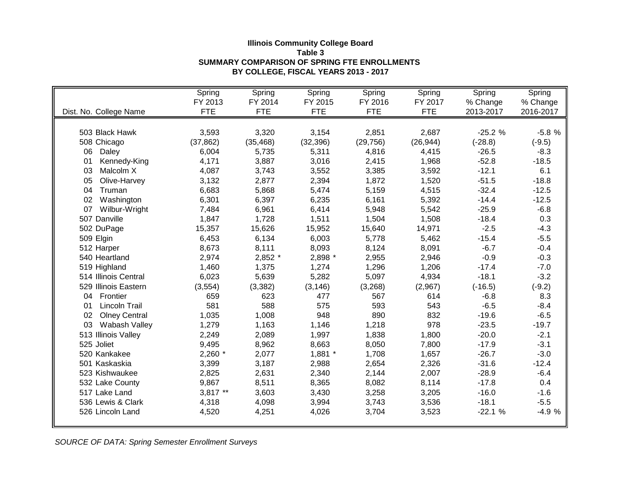## **Illinois Community College Board Table 3 SUMMARY COMPARISON OF SPRING FTE ENROLLMENTS BY COLLEGE, FISCAL YEARS 2013 - 2017**

|                            | Spring     | Spring     | Spring     | Spring     | Spring     | Spring    | Spring    |
|----------------------------|------------|------------|------------|------------|------------|-----------|-----------|
|                            | FY 2013    | FY 2014    | FY 2015    | FY 2016    | FY 2017    | % Change  | % Change  |
| Dist. No. College Name     | <b>FTE</b> | <b>FTE</b> | <b>FTE</b> | <b>FTE</b> | <b>FTE</b> | 2013-2017 | 2016-2017 |
|                            |            |            |            |            |            |           |           |
| 503 Black Hawk             | 3,593      | 3,320      | 3,154      | 2,851      | 2,687      | $-25.2%$  | $-5.8%$   |
| 508 Chicago                | (37, 862)  | (35, 468)  | (32, 396)  | (29, 756)  | (26, 944)  | $(-28.8)$ | $(-9.5)$  |
| 06<br>Daley                | 6,004      | 5,735      | 5,311      | 4,816      | 4,415      | $-26.5$   | $-8.3$    |
| Kennedy-King<br>01         | 4,171      | 3,887      | 3,016      | 2,415      | 1,968      | $-52.8$   | $-18.5$   |
| 03<br>Malcolm X            | 4,087      | 3,743      | 3,552      | 3,385      | 3,592      | $-12.1$   | 6.1       |
| 05<br>Olive-Harvey         | 3,132      | 2,877      | 2,394      | 1,872      | 1,520      | $-51.5$   | $-18.8$   |
| 04<br>Truman               | 6,683      | 5,868      | 5,474      | 5,159      | 4,515      | $-32.4$   | $-12.5$   |
| 02<br>Washington           | 6,301      | 6,397      | 6,235      | 6,161      | 5,392      | $-14.4$   | $-12.5$   |
| 07<br>Wilbur-Wright        | 7,484      | 6,961      | 6,414      | 5,948      | 5,542      | $-25.9$   | $-6.8$    |
| 507 Danville               | 1,847      | 1,728      | 1,511      | 1,504      | 1,508      | $-18.4$   | 0.3       |
| 502 DuPage                 | 15,357     | 15,626     | 15,952     | 15,640     | 14,971     | $-2.5$    | $-4.3$    |
| 509 Elgin                  | 6,453      | 6,134      | 6,003      | 5,778      | 5,462      | $-15.4$   | $-5.5$    |
| 512 Harper                 | 8,673      | 8,111      | 8,093      | 8,124      | 8,091      | $-6.7$    | $-0.4$    |
| 540 Heartland              | 2,974      | 2,852 *    | 2,898 *    | 2,955      | 2,946      | $-0.9$    | $-0.3$    |
| 519 Highland               | 1,460      | 1,375      | 1,274      | 1,296      | 1,206      | $-17.4$   | $-7.0$    |
| 514 Illinois Central       | 6,023      | 5,639      | 5,282      | 5,097      | 4,934      | $-18.1$   | $-3.2$    |
| 529 Illinois Eastern       | (3, 554)   | (3,382)    | (3, 146)   | (3,268)    | (2,967)    | $(-16.5)$ | $(-9.2)$  |
| 04 Frontier                | 659        | 623        | 477        | 567        | 614        | $-6.8$    | 8.3       |
| Lincoln Trail<br>01        | 581        | 588        | 575        | 593        | 543        | $-6.5$    | $-8.4$    |
| 02<br><b>Olney Central</b> | 1,035      | 1,008      | 948        | 890        | 832        | $-19.6$   | $-6.5$    |
| 03<br>Wabash Valley        | 1,279      | 1,163      | 1,146      | 1,218      | 978        | $-23.5$   | $-19.7$   |
| 513 Illinois Valley        | 2,249      | 2,089      | 1,997      | 1,838      | 1,800      | $-20.0$   | $-2.1$    |
| 525 Joliet                 | 9,495      | 8,962      | 8,663      | 8,050      | 7,800      | $-17.9$   | $-3.1$    |
| 520 Kankakee               | $2,260$ *  | 2,077      | 1,881 *    | 1,708      | 1,657      | $-26.7$   | $-3.0$    |
| 501 Kaskaskia              | 3,399      | 3,187      | 2,988      | 2,654      | 2,326      | $-31.6$   | $-12.4$   |
| 523 Kishwaukee             | 2,825      | 2,631      | 2,340      | 2,144      | 2,007      | $-28.9$   | $-6.4$    |
| 532 Lake County            | 9,867      | 8,511      | 8,365      | 8,082      | 8,114      | $-17.8$   | 0.4       |
| 517 Lake Land              | 3,817 **   | 3,603      | 3,430      | 3,258      | 3,205      | $-16.0$   | $-1.6$    |
| 536 Lewis & Clark          | 4,318      | 4,098      | 3,994      | 3,743      | 3,536      | $-18.1$   | $-5.5$    |
| 526 Lincoln Land           | 4,520      | 4,251      | 4,026      | 3,704      | 3,523      | $-22.1%$  | $-4.9%$   |
|                            |            |            |            |            |            |           |           |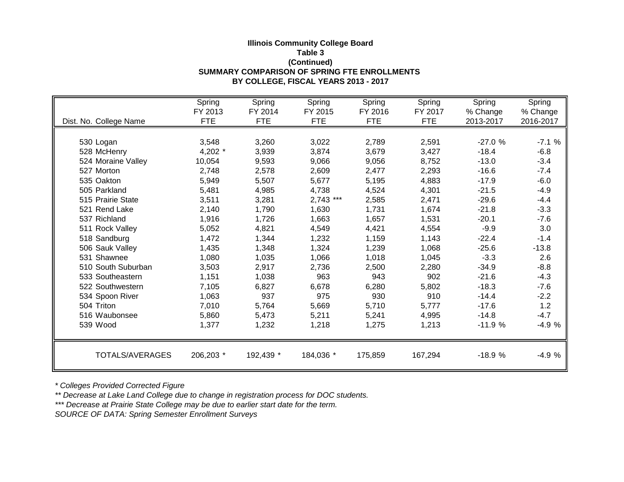## **Illinois Community College Board Table 3 (Continued) SUMMARY COMPARISON OF SPRING FTE ENROLLMENTS BY COLLEGE, FISCAL YEARS 2013 - 2017**

|                        | Spring     | Spring     | Spring      | Spring     | Spring     | Spring    | Spring    |
|------------------------|------------|------------|-------------|------------|------------|-----------|-----------|
|                        | FY 2013    | FY 2014    | FY 2015     | FY 2016    | FY 2017    | % Change  | % Change  |
| Dist. No. College Name | <b>FTE</b> | <b>FTE</b> | <b>FTE</b>  | <b>FTE</b> | <b>FTE</b> | 2013-2017 | 2016-2017 |
|                        |            |            |             |            |            |           |           |
| 530 Logan              | 3,548      | 3,260      | 3,022       | 2,789      | 2,591      | $-27.0%$  | $-7.1%$   |
| 528 McHenry            | 4,202 *    | 3,939      | 3,874       | 3,679      | 3,427      | $-18.4$   | $-6.8$    |
| 524 Moraine Valley     | 10,054     | 9,593      | 9,066       | 9,056      | 8,752      | $-13.0$   | $-3.4$    |
| 527 Morton             | 2,748      | 2,578      | 2,609       | 2,477      | 2,293      | $-16.6$   | $-7.4$    |
| 535 Oakton             | 5,949      | 5,507      | 5,677       | 5,195      | 4,883      | $-17.9$   | $-6.0$    |
| 505 Parkland           | 5,481      | 4,985      | 4,738       | 4,524      | 4,301      | $-21.5$   | $-4.9$    |
| 515 Prairie State      | 3,511      | 3,281      | $2,743$ *** | 2,585      | 2,471      | $-29.6$   | $-4.4$    |
| 521 Rend Lake          | 2,140      | 1,790      | 1,630       | 1,731      | 1,674      | $-21.8$   | $-3.3$    |
| 537 Richland           | 1,916      | 1,726      | 1,663       | 1,657      | 1,531      | $-20.1$   | $-7.6$    |
| 511 Rock Valley        | 5,052      | 4,821      | 4,549       | 4,421      | 4,554      | $-9.9$    | 3.0       |
| 518 Sandburg           | 1,472      | 1,344      | 1,232       | 1,159      | 1,143      | $-22.4$   | $-1.4$    |
| 506 Sauk Valley        | 1,435      | 1,348      | 1,324       | 1,239      | 1,068      | $-25.6$   | $-13.8$   |
| 531 Shawnee            | 1,080      | 1,035      | 1,066       | 1,018      | 1,045      | $-3.3$    | 2.6       |
| 510 South Suburban     | 3,503      | 2,917      | 2,736       | 2,500      | 2,280      | $-34.9$   | $-8.8$    |
| 533 Southeastern       | 1,151      | 1,038      | 963         | 943        | 902        | $-21.6$   | $-4.3$    |
| 522 Southwestern       | 7,105      | 6,827      | 6,678       | 6,280      | 5,802      | $-18.3$   | $-7.6$    |
| 534 Spoon River        | 1,063      | 937        | 975         | 930        | 910        | $-14.4$   | $-2.2$    |
| 504 Triton             | 7,010      | 5,764      | 5,669       | 5,710      | 5,777      | $-17.6$   | 1.2       |
| 516 Waubonsee          | 5,860      | 5,473      | 5,211       | 5,241      | 4,995      | $-14.8$   | $-4.7$    |
| 539 Wood               | 1,377      | 1,232      | 1,218       | 1,275      | 1,213      | $-11.9%$  | $-4.9%$   |
|                        |            |            |             |            |            |           |           |
| TOTALS/AVERAGES        | 206,203 *  | 192,439 *  | 184,036 *   | 175,859    | 167,294    | $-18.9%$  | $-4.9%$   |
|                        |            |            |             |            |            |           |           |

*\* Colleges Provided Corrected Figure*

*\*\* Decrease at Lake Land College due to change in registration process for DOC students.*

*\*\*\* Decrease at Prairie State College may be due to earlier start date for the term.*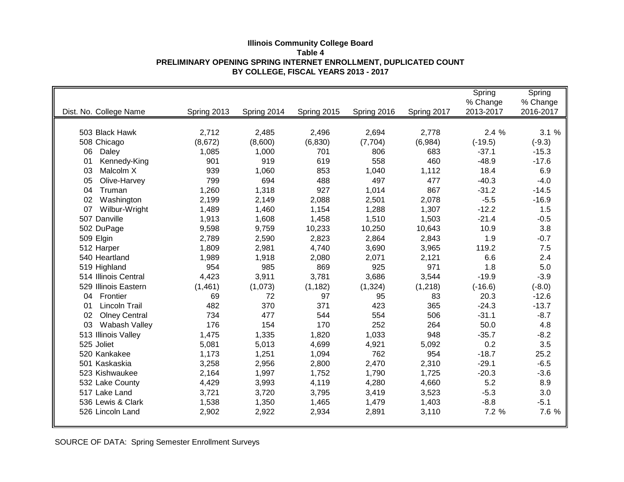|                            |             |             |             |             |             | Spring    | Spring    |
|----------------------------|-------------|-------------|-------------|-------------|-------------|-----------|-----------|
|                            |             |             |             |             |             | % Change  | % Change  |
| Dist. No. College Name     | Spring 2013 | Spring 2014 | Spring 2015 | Spring 2016 | Spring 2017 | 2013-2017 | 2016-2017 |
|                            |             |             |             |             |             |           |           |
| 503 Black Hawk             | 2,712       | 2,485       | 2,496       | 2,694       | 2,778       | 2.4%      | 3.1%      |
| 508 Chicago                | (8,672)     | (8,600)     | (6, 830)    | (7, 704)    | (6,984)     | $(-19.5)$ | $(-9.3)$  |
| 06<br>Daley                | 1,085       | 1,000       | 701         | 806         | 683         | $-37.1$   | $-15.3$   |
| 01<br>Kennedy-King         | 901         | 919         | 619         | 558         | 460         | $-48.9$   | $-17.6$   |
| 03<br>Malcolm X            | 939         | 1,060       | 853         | 1,040       | 1,112       | 18.4      | 6.9       |
| 05<br>Olive-Harvey         | 799         | 694         | 488         | 497         | 477         | $-40.3$   | $-4.0$    |
| 04<br>Truman               | 1,260       | 1,318       | 927         | 1,014       | 867         | $-31.2$   | $-14.5$   |
| 02<br>Washington           | 2,199       | 2,149       | 2,088       | 2,501       | 2,078       | $-5.5$    | $-16.9$   |
| 07<br>Wilbur-Wright        | 1,489       | 1,460       | 1,154       | 1,288       | 1,307       | $-12.2$   | 1.5       |
| 507 Danville               | 1,913       | 1,608       | 1,458       | 1,510       | 1,503       | $-21.4$   | $-0.5$    |
| 502 DuPage                 | 9,598       | 9,759       | 10,233      | 10,250      | 10,643      | 10.9      | 3.8       |
| 509 Elgin                  | 2,789       | 2,590       | 2,823       | 2,864       | 2,843       | 1.9       | $-0.7$    |
| 512 Harper                 | 1,809       | 2,981       | 4,740       | 3,690       | 3,965       | 119.2     | 7.5       |
| 540 Heartland              | 1,989       | 1,918       | 2,080       | 2,071       | 2,121       | 6.6       | 2.4       |
| 519 Highland               | 954         | 985         | 869         | 925         | 971         | 1.8       | 5.0       |
| 514 Illinois Central       | 4,423       | 3,911       | 3,781       | 3,686       | 3,544       | $-19.9$   | $-3.9$    |
| 529 Illinois Eastern       | (1,461)     | (1,073)     | (1, 182)    | (1, 324)    | (1,218)     | $(-16.6)$ | $(-8.0)$  |
| 04<br>Frontier             | 69          | 72          | 97          | 95          | 83          | 20.3      | $-12.6$   |
| Lincoln Trail<br>01        | 482         | 370         | 371         | 423         | 365         | $-24.3$   | $-13.7$   |
| 02<br><b>Olney Central</b> | 734         | 477         | 544         | 554         | 506         | $-31.1$   | $-8.7$    |
| 03<br>Wabash Valley        | 176         | 154         | 170         | 252         | 264         | 50.0      | 4.8       |
| 513 Illinois Valley        | 1,475       | 1,335       | 1,820       | 1,033       | 948         | $-35.7$   | $-8.2$    |
| 525 Joliet                 | 5,081       | 5,013       | 4,699       | 4,921       | 5,092       | 0.2       | 3.5       |
| 520 Kankakee               | 1,173       | 1,251       | 1,094       | 762         | 954         | $-18.7$   | 25.2      |
| 501 Kaskaskia              | 3,258       | 2,956       | 2,800       | 2,470       | 2,310       | $-29.1$   | $-6.5$    |
| 523 Kishwaukee             | 2,164       | 1,997       | 1,752       | 1,790       | 1,725       | $-20.3$   | $-3.6$    |
| 532 Lake County            | 4,429       | 3,993       | 4,119       | 4,280       | 4,660       | 5.2       | 8.9       |
| 517 Lake Land              | 3,721       | 3,720       | 3,795       | 3,419       | 3,523       | $-5.3$    | 3.0       |
| 536 Lewis & Clark          | 1,538       | 1,350       | 1,465       | 1,479       | 1,403       | $-8.8$    | $-5.1$    |
| 526 Lincoln Land           | 2,902       | 2,922       | 2,934       | 2,891       | 3,110       | 7.2 %     | 7.6 %     |
|                            |             |             |             |             |             |           |           |

#### **Illinois Community College Board Table 4 PRELIMINARY OPENING SPRING INTERNET ENROLLMENT, DUPLICATED COUNT BY COLLEGE, FISCAL YEARS 2013 - 2017**